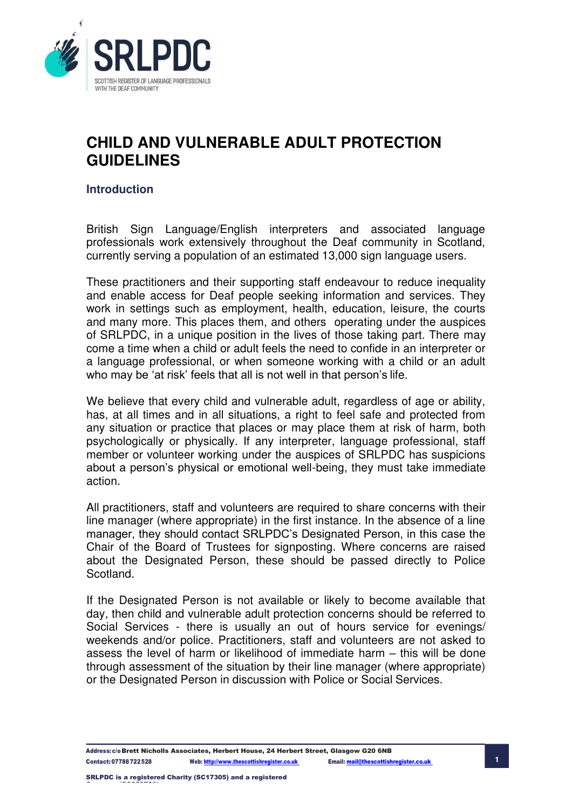

## **Introduction**

British Sign Language/English interpreters and associated language professionals work extensively throughout the Deaf community in Scotland, currently serving a population of an estimated 13,000 sign language users.

These practitioners and their supporting staff endeavour to reduce inequality and enable access for Deaf people seeking information and services. They work in settings such as employment, health, education, leisure, the courts and many more. This places them, and others operating under the auspices of SRLPDC, in a unique position in the lives of those taking part. There may come a time when a child or adult feels the need to confide in an interpreter or a language professional, or when someone working with a child or an adult who may be 'at risk' feels that all is not well in that person's life.

We believe that every child and vulnerable adult, regardless of age or ability, has, at all times and in all situations, a right to feel safe and protected from any situation or practice that places or may place them at risk of harm, both psychologically or physically. If any interpreter, language professional, staff member or volunteer working under the auspices of SRLPDC has suspicions about a person's physical or emotional well-being, they must take immediate action.

All practitioners, staff and volunteers are required to share concerns with their line manager (where appropriate) in the first instance. In the absence of a line manager, they should contact SRLPDC's Designated Person, in this case the Chair of the Board of Trustees for signposting. Where concerns are raised about the Designated Person, these should be passed directly to Police Scotland.

If the Designated Person is not available or likely to become available that day, then child and vulnerable adult protection concerns should be referred to Social Services - there is usually an out of hours service for evenings/ weekends and/or police. Practitioners, staff and volunteers are not asked to assess the level of harm or likelihood of immediate harm – this will be done through assessment of the situation by their line manager (where appropriate) or the Designated Person in discussion with Police or Social Services.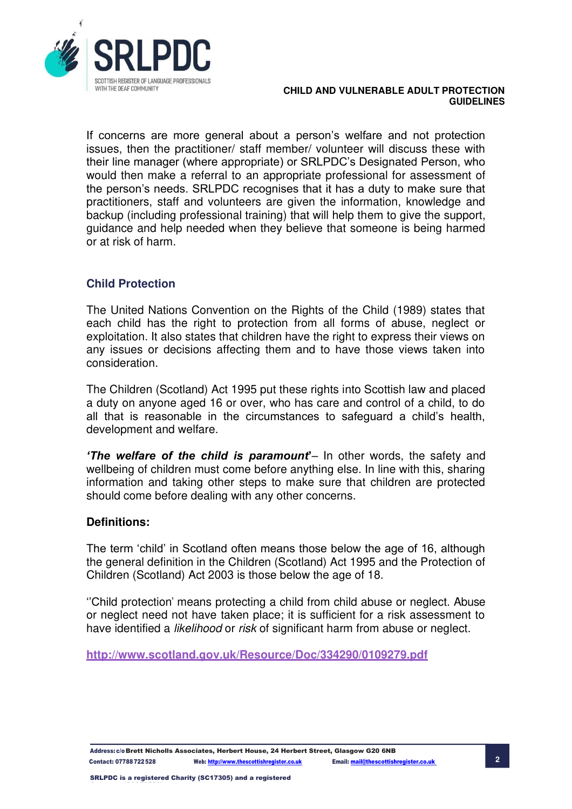

If concerns are more general about a person's welfare and not protection issues, then the practitioner/ staff member/ volunteer will discuss these with their line manager (where appropriate) or SRLPDC's Designated Person, who would then make a referral to an appropriate professional for assessment of the person's needs. SRLPDC recognises that it has a duty to make sure that practitioners, staff and volunteers are given the information, knowledge and backup (including professional training) that will help them to give the support, guidance and help needed when they believe that someone is being harmed or at risk of harm.

## **Child Protection**

The United Nations Convention on the Rights of the Child (1989) states that each child has the right to protection from all forms of abuse, neglect or exploitation. It also states that children have the right to express their views on any issues or decisions affecting them and to have those views taken into consideration.

The Children (Scotland) Act 1995 put these rights into Scottish law and placed a duty on anyone aged 16 or over, who has care and control of a child, to do all that is reasonable in the circumstances to safeguard a child's health, development and welfare.

*'The welfare of the child is paramount***'**– In other words, the safety and wellbeing of children must come before anything else. In line with this, sharing information and taking other steps to make sure that children are protected should come before dealing with any other concerns.

## **Definitions:**

The term 'child' in Scotland often means those below the age of 16, although the general definition in the Children (Scotland) Act 1995 and the Protection of Children (Scotland) Act 2003 is those below the age of 18.

''Child protection" means protecting a child from child abuse or neglect. Abuse or neglect need not have taken place; it is sufficient for a risk assessment to have identified a *likelihood* or *risk* of significant harm from abuse or neglect.

**<http://www.scotland.gov.uk/Resource/Doc/334290/0109279.pdf>**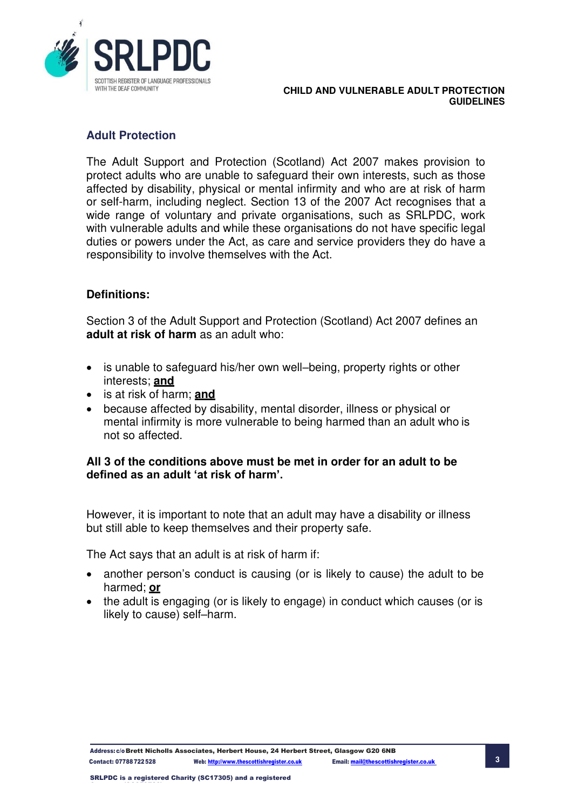

## **Adult Protection**

The Adult Support and Protection (Scotland) Act 2007 makes provision to protect adults who are unable to safeguard their own interests, such as those affected by disability, physical or mental infirmity and who are at risk of harm or self-harm, including neglect. Section 13 of the 2007 Act recognises that a wide range of voluntary and private organisations, such as SRLPDC, work with vulnerable adults and while these organisations do not have specific legal duties or powers under the Act, as care and service providers they do have a responsibility to involve themselves with the Act.

## **Definitions:**

Section 3 of the Adult Support and Protection (Scotland) Act 2007 defines an **adult at risk of harm** as an adult who:

- is unable to safeguard his/her own well–being, property rights or other interests; **and**
- is at risk of harm; **and**
- because affected by disability, mental disorder, illness or physical or mental infirmity is more vulnerable to being harmed than an adult who is not so affected.

## **All 3 of the conditions above must be met in order for an adult to be defined as an adult 'at risk of harm'.**

However, it is important to note that an adult may have a disability or illness but still able to keep themselves and their property safe.

The Act says that an adult is at risk of harm if:

- another person's conduct is causing (or is likely to cause) the adult to be harmed; **or**
- the adult is engaging (or is likely to engage) in conduct which causes (or is likely to cause) self–harm.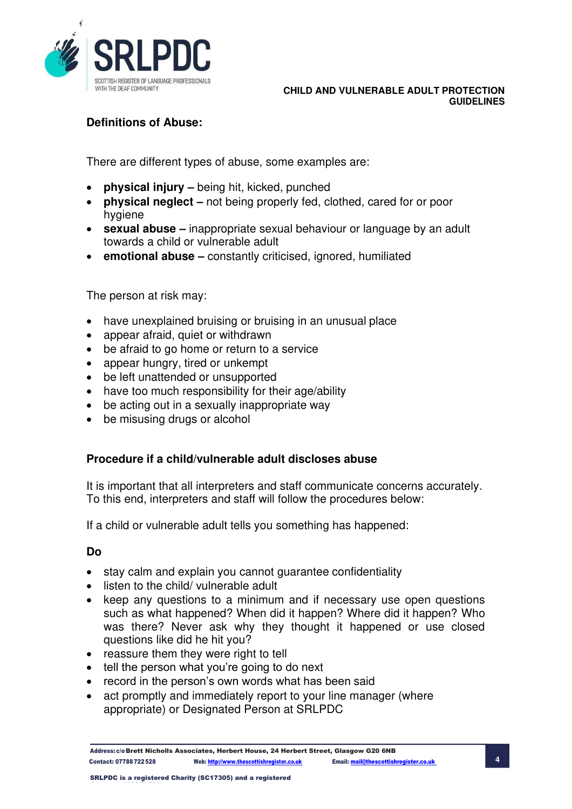

## **Definitions of Abuse:**

There are different types of abuse, some examples are:

- **physical injury –** being hit, kicked, punched
- **physical neglect** not being properly fed, clothed, cared for or poor hygiene
- **sexual abuse –** inappropriate sexual behaviour or language by an adult towards a child or vulnerable adult
- **emotional abuse –** constantly criticised, ignored, humiliated

The person at risk may:

- have unexplained bruising or bruising in an unusual place
- appear afraid, quiet or withdrawn
- be afraid to go home or return to a service
- appear hungry, tired or unkempt
- be left unattended or unsupported
- have too much responsibility for their age/ability
- be acting out in a sexually inappropriate way
- be misusing drugs or alcohol

## **Procedure if a child/vulnerable adult discloses abuse**

It is important that all interpreters and staff communicate concerns accurately. To this end, interpreters and staff will follow the procedures below:

If a child or vulnerable adult tells you something has happened:

## **Do**

- stay calm and explain you cannot guarantee confidentiality
- listen to the child/ vulnerable adult
- keep any questions to a minimum and if necessary use open questions such as what happened? When did it happen? Where did it happen? Who was there? Never ask why they thought it happened or use closed questions like did he hit you?
- reassure them they were right to tell
- tell the person what you're going to do next
- record in the person's own words what has been said
- act promptly and immediately report to your line manager (where appropriate) or Designated Person at SRLPDC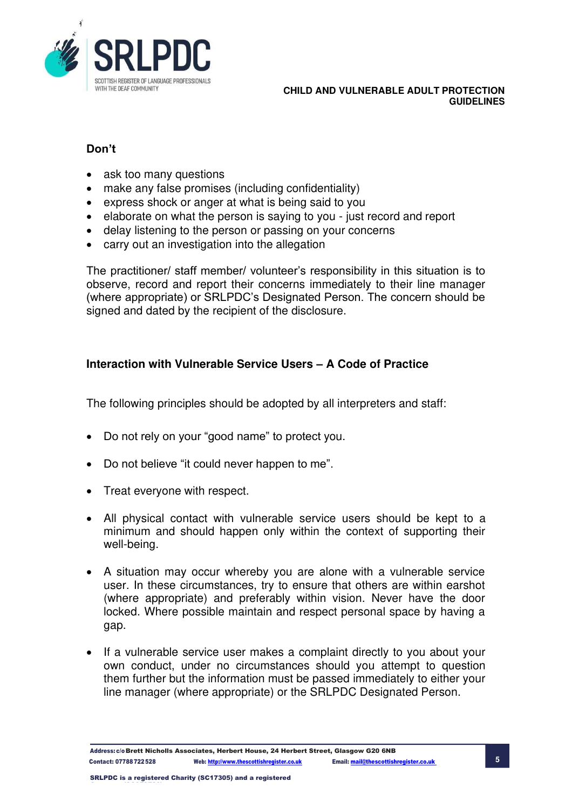

## **Don't**

- ask too many questions
- make any false promises (including confidentiality)
- express shock or anger at what is being said to you
- elaborate on what the person is saying to you just record and report
- delay listening to the person or passing on your concerns
- carry out an investigation into the allegation

The practitioner/ staff member/ volunteer's responsibility in this situation is to observe, record and report their concerns immediately to their line manager (where appropriate) or SRLPDC's Designated Person. The concern should be signed and dated by the recipient of the disclosure.

## **Interaction with Vulnerable Service Users – A Code of Practice**

The following principles should be adopted by all interpreters and staff:

- Do not rely on your "good name" to protect you.
- Do not believe "it could never happen to me".
- Treat everyone with respect.
- All physical contact with vulnerable service users should be kept to a minimum and should happen only within the context of supporting their well-being.
- A situation may occur whereby you are alone with a vulnerable service user. In these circumstances, try to ensure that others are within earshot (where appropriate) and preferably within vision. Never have the door locked. Where possible maintain and respect personal space by having a gap.
- If a vulnerable service user makes a complaint directly to you about your own conduct, under no circumstances should you attempt to question them further but the information must be passed immediately to either your line manager (where appropriate) or the SRLPDC Designated Person.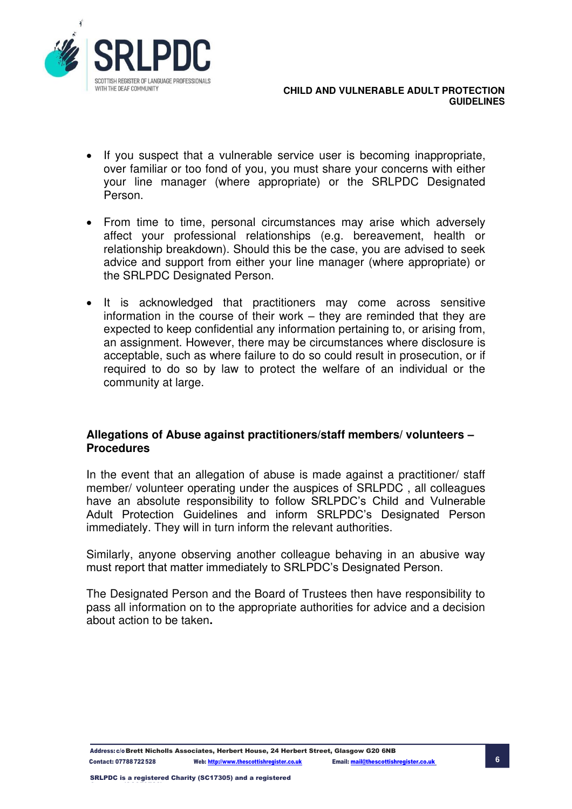

- If you suspect that a vulnerable service user is becoming inappropriate, over familiar or too fond of you, you must share your concerns with either your line manager (where appropriate) or the SRLPDC Designated Person.
- From time to time, personal circumstances may arise which adversely affect your professional relationships (e.g. bereavement, health or relationship breakdown). Should this be the case, you are advised to seek advice and support from either your line manager (where appropriate) or the SRLPDC Designated Person.
- It is acknowledged that practitioners may come across sensitive information in the course of their work – they are reminded that they are expected to keep confidential any information pertaining to, or arising from, an assignment. However, there may be circumstances where disclosure is acceptable, such as where failure to do so could result in prosecution, or if required to do so by law to protect the welfare of an individual or the community at large.

## **Allegations of Abuse against practitioners/staff members/ volunteers – Procedures**

In the event that an allegation of abuse is made against a practitioner/ staff member/ volunteer operating under the auspices of SRLPDC , all colleagues have an absolute responsibility to follow SRLPDC's Child and Vulnerable Adult Protection Guidelines and inform SRLPDC's Designated Person immediately. They will in turn inform the relevant authorities.

Similarly, anyone observing another colleague behaving in an abusive way must report that matter immediately to SRLPDC's Designated Person.

The Designated Person and the Board of Trustees then have responsibility to pass all information on to the appropriate authorities for advice and a decision about action to be taken**.**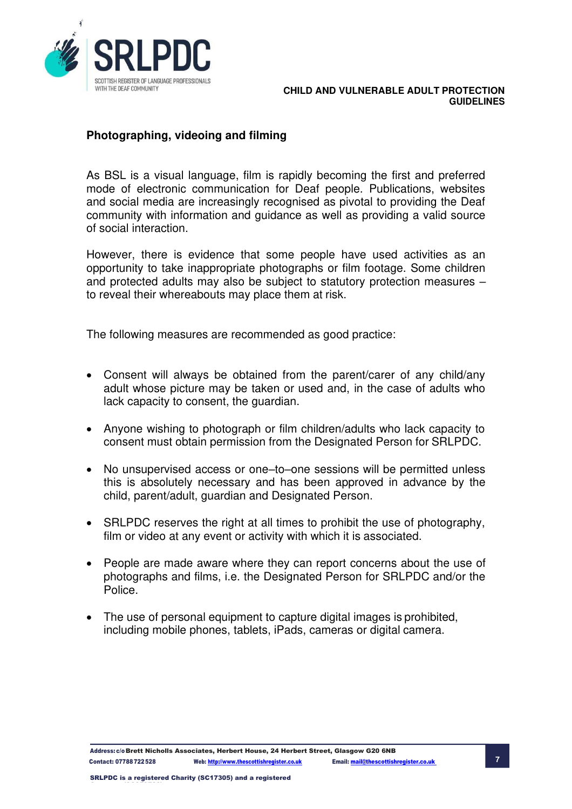

## **Photographing, videoing and filming**

As BSL is a visual language, film is rapidly becoming the first and preferred mode of electronic communication for Deaf people. Publications, websites and social media are increasingly recognised as pivotal to providing the Deaf community with information and guidance as well as providing a valid source of social interaction.

However, there is evidence that some people have used activities as an opportunity to take inappropriate photographs or film footage. Some children and protected adults may also be subject to statutory protection measures – to reveal their whereabouts may place them at risk.

The following measures are recommended as good practice:

- Consent will always be obtained from the parent/carer of any child/any adult whose picture may be taken or used and, in the case of adults who lack capacity to consent, the guardian.
- Anyone wishing to photograph or film children/adults who lack capacity to consent must obtain permission from the Designated Person for SRLPDC.
- No unsupervised access or one–to–one sessions will be permitted unless this is absolutely necessary and has been approved in advance by the child, parent/adult, guardian and Designated Person.
- SRLPDC reserves the right at all times to prohibit the use of photography, film or video at any event or activity with which it is associated.
- People are made aware where they can report concerns about the use of photographs and films, i.e. the Designated Person for SRLPDC and/or the Police.
- The use of personal equipment to capture digital images is prohibited, including mobile phones, tablets, iPads, cameras or digital camera.